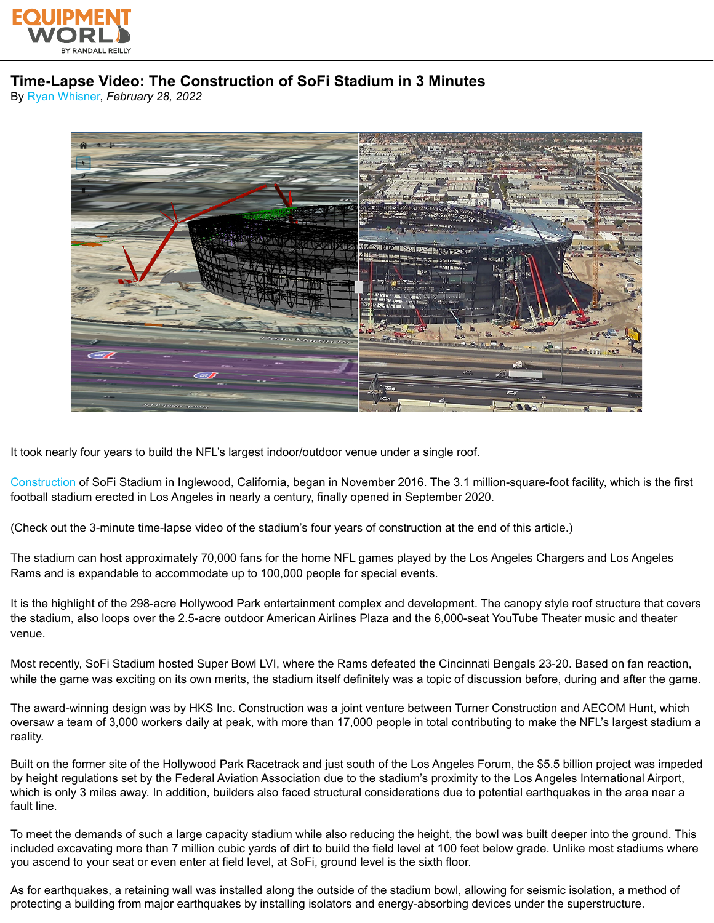

## **Time-Lapse Video: The Construction of SoFi Stadium in 3 Minutes**

By [Ryan Whisner,](https://www.equipmentworld.com/authors/contact/15287078/ryan-whisner) *February 28, 2022*



It took nearly four years to build the NFL's largest indoor/outdoor venue under a single roof.

[Construction](https://www.equipmentworld.com/equipment) of SoFi Stadium in Inglewood, California, began in November 2016. The 3.1 million-square-foot facility, which is the first football stadium erected in Los Angeles in nearly a century, finally opened in September 2020.

(Check out the 3-minute time-lapse video of the stadium's four years of construction at the end of this article.)

The stadium can host approximately 70,000 fans for the home NFL games played by the Los Angeles Chargers and Los Angeles Rams and is expandable to accommodate up to 100,000 people for special events.

It is the highlight of the 298-acre Hollywood Park entertainment complex and development. The canopy style roof structure that covers the stadium, also loops over the 2.5-acre outdoor American Airlines Plaza and the 6,000-seat YouTube Theater music and theater venue.

Most recently, SoFi Stadium hosted Super Bowl LVI, where the Rams defeated the Cincinnati Bengals 23-20. Based on fan reaction, while the game was exciting on its own merits, the stadium itself definitely was a topic of discussion before, during and after the game.

The award-winning design was by HKS Inc. Construction was a joint venture between Turner Construction and AECOM Hunt, which oversaw a team of 3,000 workers daily at peak, with more than 17,000 people in total contributing to make the NFL's largest stadium a reality.

Built on the former site of the Hollywood Park Racetrack and just south of the Los Angeles Forum, the \$5.5 billion project was impeded by height regulations set by the Federal Aviation Association due to the stadium's proximity to the Los Angeles International Airport, which is only 3 miles away. In addition, builders also faced structural considerations due to potential earthquakes in the area near a fault line.

To meet the demands of such a large capacity stadium while also reducing the height, the bowl was built deeper into the ground. This included excavating more than 7 million cubic yards of dirt to build the field level at 100 feet below grade. Unlike most stadiums where you ascend to your seat or even enter at field level, at SoFi, ground level is the sixth floor.

As for earthquakes, a retaining wall was installed along the outside of the stadium bowl, allowing for seismic isolation, a method of protecting a building from major earthquakes by installing isolators and energy-absorbing devices under the superstructure.